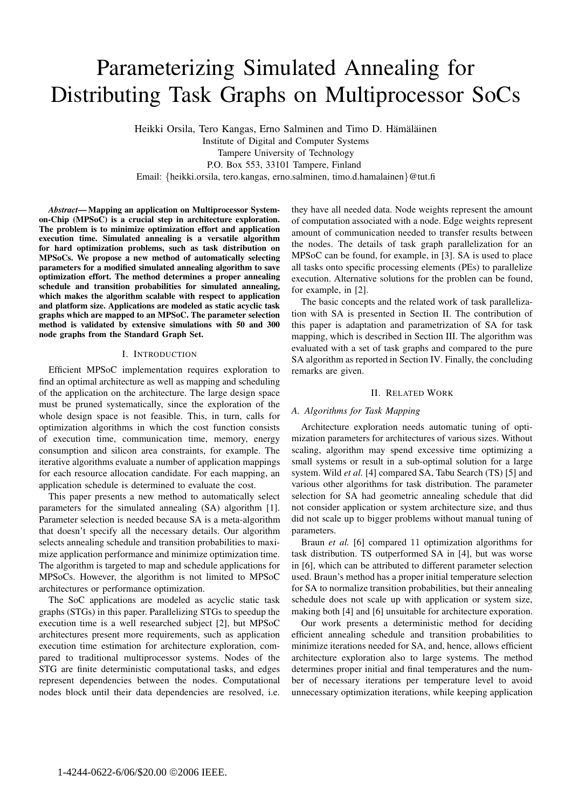# Parameterizing Simulated Annealing for Distributing Task Graphs on Multiprocessor SoCs

Heikki Orsila, Tero Kangas, Erno Salminen and Timo D. Hämäläinen

Institute of Digital and Computer Systems Tampere University of Technology P.O. Box 553, 33101 Tampere, Finland Email: {heikki.orsila, tero.kangas, erno.salminen, timo.d.hamalainen}@tut.fi

*Abstract***— Mapping an application on Multiprocessor Systemon-Chip (MPSoC) is a crucial step in architecture exploration. The problem is to minimize optimization effort and application execution time. Simulated annealing is a versatile algorithm for hard optimization problems, such as task distribution on MPSoCs. We propose a new method of automatically selecting parameters for a modified simulated annealing algorithm to save optimization effort. The method determines a proper annealing schedule and transition probabilities for simulated annealing, which makes the algorithm scalable with respect to application and platform size. Applications are modeled as static acyclic task graphs which are mapped to an MPSoC. The parameter selection method is validated by extensive simulations with 50 and 300 node graphs from the Standard Graph Set.**

# I. INTRODUCTION

Efficient MPSoC implementation requires exploration to find an optimal architecture as well as mapping and scheduling of the application on the architecture. The large design space must be pruned systematically, since the exploration of the whole design space is not feasible. This, in turn, calls for optimization algorithms in which the cost function consists of execution time, communication time, memory, energy consumption and silicon area constraints, for example. The iterative algorithms evaluate a number of application mappings for each resource allocation candidate. For each mapping, an application schedule is determined to evaluate the cost.

This paper presents a new method to automatically select parameters for the simulated annealing (SA) algorithm [1]. Parameter selection is needed because SA is a meta-algorithm that doesn't specify all the necessary details. Our algorithm selects annealing schedule and transition probabilities to maximize application performance and minimize optimization time. The algorithm is targeted to map and schedule applications for MPSoCs. However, the algorithm is not limited to MPSoC architectures or performance optimization.

The SoC applications are modeled as acyclic static task graphs (STGs) in this paper. Parallelizing STGs to speedup the execution time is a well researched subject [2], but MPSoC architectures present more requirements, such as application execution time estimation for architecture exploration, compared to traditional multiprocessor systems. Nodes of the STG are finite deterministic computational tasks, and edges represent dependencies between the nodes. Computational nodes block until their data dependencies are resolved, i.e.

they have all needed data. Node weights represent the amount of computation associated with a node. Edge weights represent amount of communication needed to transfer results between the nodes. The details of task graph parallelization for an MPSoC can be found, for example, in [3]. SA is used to place all tasks onto specific processing elements (PEs) to parallelize execution. Alternative solutions for the problen can be found, for example, in [2].

The basic concepts and the related work of task parallelization with SA is presented in Section II. The contribution of this paper is adaptation and parametrization of SA for task mapping, which is described in Section III. The algorithm was evaluated with a set of task graphs and compared to the pure SA algorithm as reported in Section IV. Finally, the concluding remarks are given.

### II. RELATED WORK

# *A. Algorithms for Task Mapping*

Architecture exploration needs automatic tuning of optimization parameters for architectures of various sizes. Without scaling, algorithm may spend excessive time optimizing a small systems or result in a sub-optimal solution for a large system. Wild *et al.* [4] compared SA, Tabu Search (TS) [5] and various other algorithms for task distribution. The parameter selection for SA had geometric annealing schedule that did not consider application or system architecture size, and thus did not scale up to bigger problems without manual tuning of parameters.

Braun *et al.* [6] compared 11 optimization algorithms for task distribution. TS outperformed SA in [4], but was worse in [6], which can be attributed to different parameter selection used. Braun's method has a proper initial temperature selection for SA to normalize transition probabilities, but their annealing schedule does not scale up with application or system size, making both [4] and [6] unsuitable for architecture exporation.

Our work presents a deterministic method for deciding efficient annealing schedule and transition probabilities to minimize iterations needed for SA, and, hence, allows efficient architecture exploration also to large systems. The method determines proper initial and final temperatures and the number of necessary iterations per temperature level to avoid unnecessary optimization iterations, while keeping application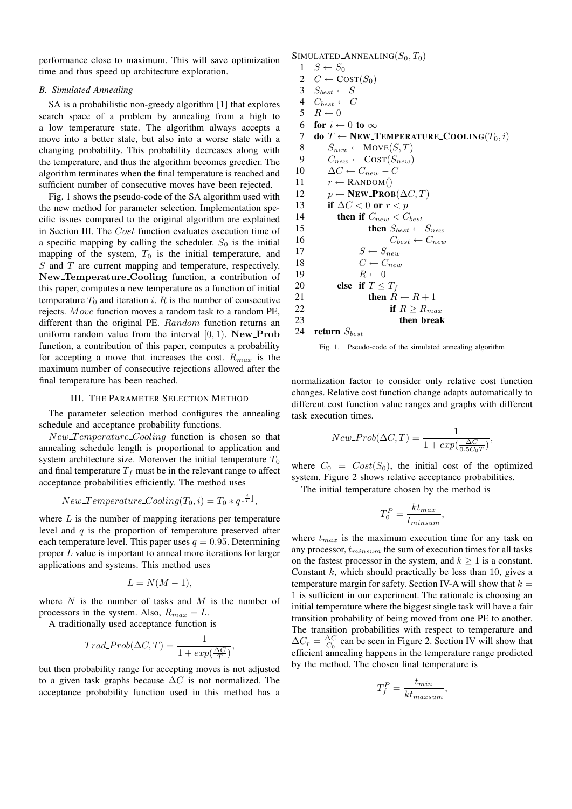performance close to maximum. This will save optimization time and thus speed up architecture exploration.

# *B. Simulated Annealing*

SA is a probabilistic non-greedy algorithm [1] that explores search space of a problem by annealing from a high to a low temperature state. The algorithm always accepts a move into a better state, but also into a worse state with a changing probability. This probability decreases along with the temperature, and thus the algorithm becomes greedier. The algorithm terminates when the final temperature is reached and sufficient number of consecutive moves have been rejected.

Fig. 1 shows the pseudo-code of the SA algorithm used with the new method for parameter selection. Implementation specific issues compared to the original algorithm are explained in Section III. The Cost function evaluates execution time of a specific mapping by calling the scheduler.  $S_0$  is the initial mapping of the system,  $T_0$  is the initial temperature, and S and T are current mapping and temperature, respectively. New Temperature Cooling function, a contribution of this paper, computes a new temperature as a function of initial temperature  $T_0$  and iteration i. R is the number of consecutive rejects. Move function moves a random task to a random PE, different than the original PE. Random function returns an uniform random value from the interval  $[0, 1)$ . New Prob function, a contribution of this paper, computes a probability for accepting a move that increases the cost.  $R_{max}$  is the maximum number of consecutive rejections allowed after the final temperature has been reached.

#### III. THE PARAMETER SELECTION METHOD

The parameter selection method configures the annealing schedule and acceptance probability functions.

New Temperature Cooling function is chosen so that annealing schedule length is proportional to application and system architecture size. Moreover the initial temperature  $T_0$ and final temperature  $T_f$  must be in the relevant range to affect acceptance probabilities efficiently. The method uses

$$
New\_Temperature\_Coding(T_0, i) = T_0 * q^{\lfloor \frac{i}{L} \rfloor},
$$

where  $L$  is the number of mapping iterations per temperature level and  $q$  is the proportion of temperature preserved after each temperature level. This paper uses  $q = 0.95$ . Determining proper L value is important to anneal more iterations for larger applications and systems. This method uses

$$
L = N(M - 1),
$$

where  $N$  is the number of tasks and  $M$  is the number of processors in the system. Also,  $R_{max} = L$ .

A traditionally used acceptance function is

$$
Trad\_Prob(\Delta C, T) = \frac{1}{1 + exp(\frac{\Delta C}{T})},
$$

but then probability range for accepting moves is not adjusted to a given task graphs because  $\Delta C$  is not normalized. The acceptance probability function used in this method has a

```
SIMULATED_ANNEALING(S_0, T_0)1 \quad S \leftarrow S_02 C \leftarrow \text{COST}(S_0)3 S_{best} \leftarrow S4 C_{best} \leftarrow C5 R \leftarrow 06 for i \leftarrow 0 to \infty7 do T ← NEW_TEMPERATURE_COOLING(T_0, i)8 S_{new} \leftarrow \text{Move}(S, T)9 C_{new} \leftarrow \text{COST}(S_{new})10 \Delta C \leftarrow C_{new} - C11 r \leftarrow RANDOM()
12 p \leftarrow \textbf{NEW\_PROB}(\Delta C, T)13 if \Delta C < 0 or r < p14 then if C_{new} < C_{best}15 then S_{best} \leftarrow S_{new}16 C_{best} \leftarrow C_{new}17 S \leftarrow S_{new}18 C \leftarrow C_{new}19 R \leftarrow 020 else if T \leq T_f21 then R \leftarrow R + 122 if R \ge R_{max}23 then break
24 return S_{best}
```


normalization factor to consider only relative cost function changes. Relative cost function change adapts automatically to different cost function value ranges and graphs with different task execution times.

$$
New\_Prob(\Delta C, T) = \frac{1}{1 + exp(\frac{\Delta C}{0.5 C_0 T})},
$$

where  $C_0 = Cost(S_0)$ , the initial cost of the optimized system. Figure 2 shows relative acceptance probabilities.

The initial temperature chosen by the method is

$$
T_0^P = \frac{k t_{max}}{t_{minsum}},
$$

where  $t_{max}$  is the maximum execution time for any task on any processor,  $t_{minsum}$  the sum of execution times for all tasks on the fastest processor in the system, and  $k \geq 1$  is a constant. Constant  $k$ , which should practically be less than 10, gives a temperature margin for safety. Section IV-A will show that  $k =$ 1 is sufficient in our experiment. The rationale is choosing an initial temperature where the biggest single task will have a fair transition probability of being moved from one PE to another. The transition probabilities with respect to temperature and  $\Delta C_r = \frac{\Delta C}{C_0}$  can be seen in Figure 2. Section IV will show that efficient annealing happens in the temperature range predicted by the method. The chosen final temperature is

$$
T_f^P = \frac{t_{min}}{kt_{maxsum}},
$$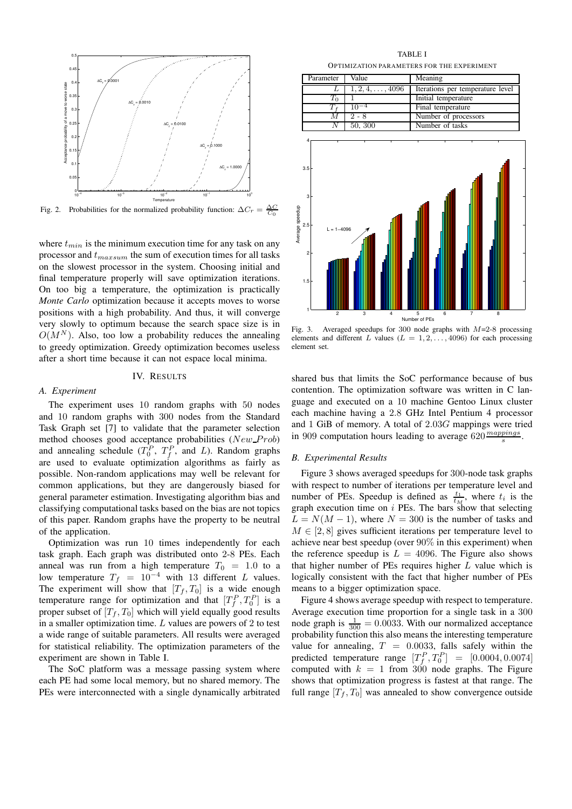

Fig. 2. Probabilities for the normalized probability function:  $\Delta C_r = \frac{\Delta C}{C_0}$ 

where  $t_{min}$  is the minimum execution time for any task on any processor and  $t_{maxsum}$  the sum of execution times for all tasks on the slowest processor in the system. Choosing initial and final temperature properly will save optimization iterations. On too big a temperature, the optimization is practically *Monte Carlo* optimization because it accepts moves to worse positions with a high probability. And thus, it will converge very slowly to optimum because the search space size is in  $O(M^N)$ . Also, too low a probability reduces the annealing to greedy optimization. Greedy optimization becomes useless after a short time because it can not espace local minima.

# IV. RESULTS

#### *A. Experiment*

The experiment uses 10 random graphs with 50 nodes and 10 random graphs with 300 nodes from the Standard Task Graph set [7] to validate that the parameter selection method chooses good acceptance probabilities (New Prob) and annealing schedule  $(T_0^P, T_f^P, \text{ and } L)$ . Random graphs are used to evaluate optimization algorithms as fairly as possible. Non-random applications may well be relevant for common applications, but they are dangerously biased for general parameter estimation. Investigating algorithm bias and classifying computational tasks based on the bias are not topics of this paper. Random graphs have the property to be neutral of the application.

Optimization was run 10 times independently for each task graph. Each graph was distributed onto 2-8 PEs. Each anneal was run from a high temperature  $T_0 = 1.0$  to a low temperature  $T_f = 10^{-4}$  with 13 different L values. The experiment will show that  $[T_f, T_0]$  is a wide enough temperature range for optimization and that  $[T_f^P, T_0^P]$  is a proper subset of  $[T_f, T_0]$  which will yield equally good results in a smaller optimization time.  $L$  values are powers of  $2$  to test a wide range of suitable parameters. All results were averaged for statistical reliability. The optimization parameters of the experiment are shown in Table I.

The SoC platform was a message passing system where each PE had some local memory, but no shared memory. The PEs were interconnected with a single dynamically arbitrated

TABLE I OPTIMIZATION PARAMETERS FOR THE EXPERIMENT

| Parameter | Value                   | Meaning                          |
|-----------|-------------------------|----------------------------------|
|           | $1, 2, 4, \ldots, 4096$ | Iterations per temperature level |
| Τò        |                         | Initial temperature              |
|           | $10^{-4}$               | Final temperature                |
|           | $2 - 8$                 | Number of processors             |
|           | 50, 300                 | Number of tasks                  |



Fig. 3. Averaged speedups for 300 node graphs with  $M=2-8$  processing elements and different L values ( $L = 1, 2, \ldots, 4096$ ) for each processing element set.

shared bus that limits the SoC performance because of bus contention. The optimization software was written in C language and executed on a 10 machine Gentoo Linux cluster each machine having a 2.8 GHz Intel Pentium 4 processor and 1 GiB of memory. A total of 2.03G mappings were tried in 909 computation hours leading to average  $620 \frac{mapping}{s}$ .

#### *B. Experimental Results*

Figure 3 shows averaged speedups for 300-node task graphs with respect to number of iterations per temperature level and number of PEs. Speedup is defined as  $\frac{t_1}{t_M}$ , where  $t_i$  is the graph execution time on  $i$  PEs. The bars show that selecting  $L = N(M - 1)$ , where  $N = 300$  is the number of tasks and  $M \in [2, 8]$  gives sufficient iterations per temperature level to achieve near best speedup (over 90% in this experiment) when the reference speedup is  $L = 4096$ . The Figure also shows that higher number of PEs requires higher  $L$  value which is logically consistent with the fact that higher number of PEs means to a bigger optimization space.

Figure 4 shows average speedup with respect to temperature. Average execution time proportion for a single task in a 300 node graph is  $\frac{1}{300} = 0.0033$ . With our normalized acceptance probability function this also means the interesting temperature value for annealing,  $T = 0.0033$ , falls safely within the predicted temperature range  $[T_f^P, T_0^P] = [0.0004, 0.0074]$ computed with  $k = 1$  from 300 node graphs. The Figure shows that optimization progress is fastest at that range. The full range  $[T_f, T_0]$  was annealed to show convergence outside